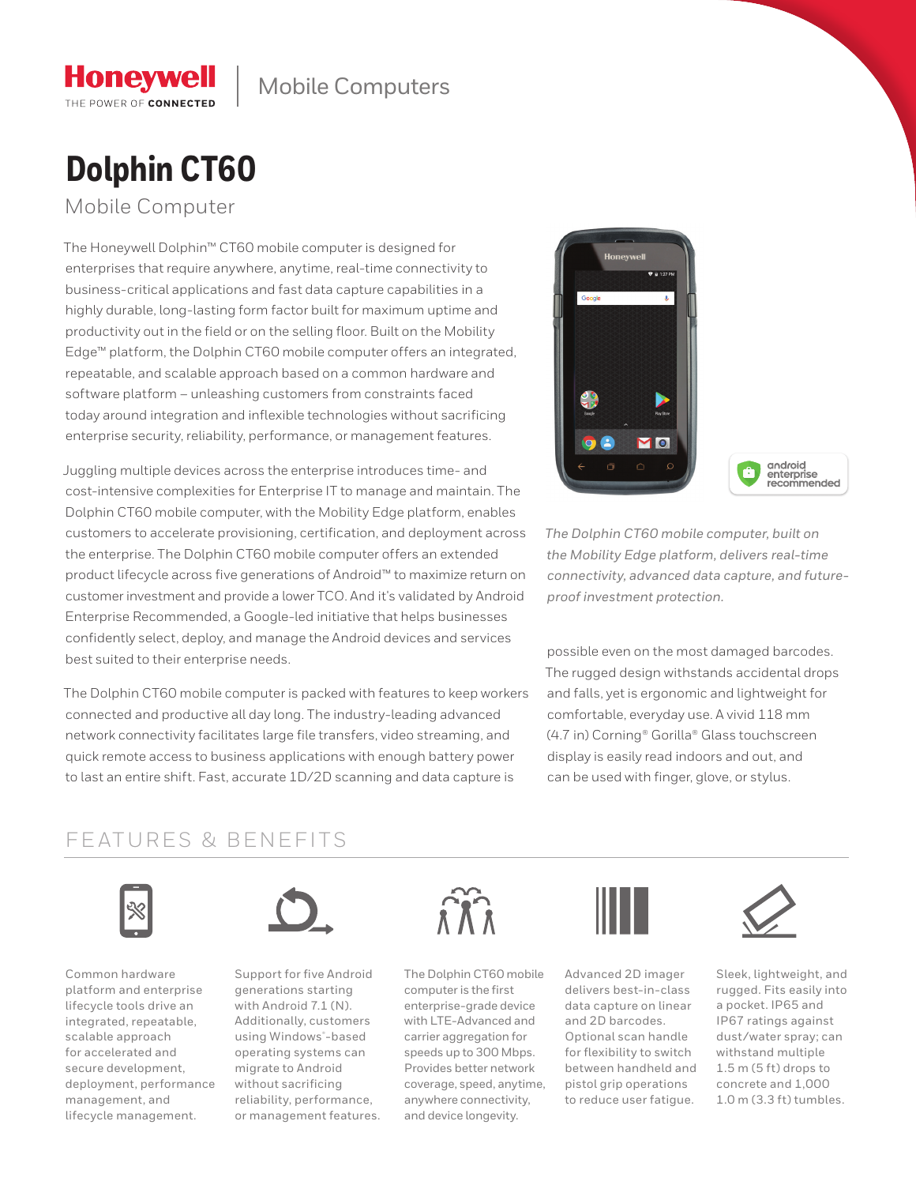# **Dolphin CT60**

Mobile Computer

**Honeywell** THE POWER OF CONNECTED

The Honeywell Dolphin™ CT60 mobile computer is designed for enterprises that require anywhere, anytime, real-time connectivity to business-critical applications and fast data capture capabilities in a highly durable, long-lasting form factor built for maximum uptime and productivity out in the field or on the selling floor. Built on the Mobility Edge™ platform, the Dolphin CT60 mobile computer offers an integrated, repeatable, and scalable approach based on a common hardware and software platform – unleashing customers from constraints faced today around integration and inflexible technologies without sacrificing enterprise security, reliability, performance, or management features.

Juggling multiple devices across the enterprise introduces time- and cost-intensive complexities for Enterprise IT to manage and maintain. The Dolphin CT60 mobile computer, with the Mobility Edge platform, enables customers to accelerate provisioning, certification, and deployment across the enterprise. The Dolphin CT60 mobile computer offers an extended product lifecycle across five generations of Android™ to maximize return on customer investment and provide a lower TCO. And it's validated by Android Enterprise Recommended, a Google-led initiative that helps businesses confidently select, deploy, and manage the Android devices and services best suited to their enterprise needs.

The Dolphin CT60 mobile computer is packed with features to keep workers connected and productive all day long. The industry-leading advanced network connectivity facilitates large file transfers, video streaming, and quick remote access to business applications with enough battery power to last an entire shift. Fast, accurate 1D/2D scanning and data capture is



android<br>enterprise<br>recommended

*The Dolphin CT60 mobile computer, built on the Mobility Edge platform, delivers real-time connectivity, advanced data capture, and futureproof investment protection.*

possible even on the most damaged barcodes. The rugged design withstands accidental drops and falls, yet is ergonomic and lightweight for comfortable, everyday use. A vivid 118 mm (4.7 in) Corning® Gorilla® Glass touchscreen display is easily read indoors and out, and can be used with finger, glove, or stylus.

### FEATURES & BENEFITS



Common hardware platform and enterprise lifecycle tools drive an integrated, repeatable, scalable approach for accelerated and secure development, deployment, performance management, and lifecycle management.



Support for five Android generations starting with Android 7.1 (N). Additionally, customers using Windows® -based operating systems can migrate to Android without sacrificing reliability, performance, or management features.



The Dolphin CT60 mobile computer is the first enterprise-grade device with LTE-Advanced and carrier aggregation for speeds up to 300 Mbps. Provides better network coverage, speed, anytime, anywhere connectivity, and device longevity.



Advanced 2D imager delivers best-in-class data capture on linear and 2D barcodes. Optional scan handle for flexibility to switch between handheld and pistol grip operations to reduce user fatigue.



Sleek, lightweight, and rugged. Fits easily into a pocket. IP65 and IP67 ratings against dust/water spray; can withstand multiple 1.5 m (5 ft) drops to concrete and 1,000 1.0 m (3.3 ft) tumbles.